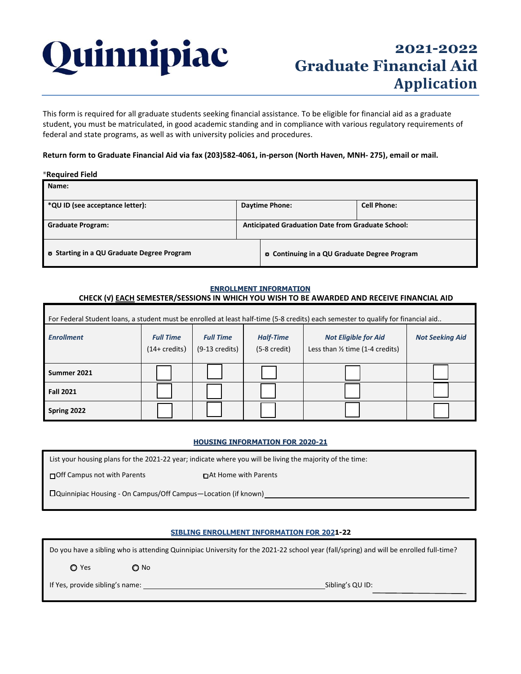

# **2021-2022 Graduate Financial Aid Application**

This form is required for all graduate students seeking financial assistance. To be eligible for financial aid as a graduate student, you must be matriculated, in good academic standing and in compliance with various regulatory requirements of federal and state programs, as well as with university policies and procedures.

## **Return form to Graduate Financial Aid via fax (203)582-4061, in-person (North Haven, MNH- 275), email or mail.**

#### \***Required Field**

| Name:                                             |                                                          |                                                      |                    |
|---------------------------------------------------|----------------------------------------------------------|------------------------------------------------------|--------------------|
| *QU ID (see acceptance letter):                   | <b>Daytime Phone:</b>                                    |                                                      | <b>Cell Phone:</b> |
| <b>Graduate Program:</b>                          | <b>Anticipated Graduation Date from Graduate School:</b> |                                                      |                    |
| <b>D</b> Starting in a QU Graduate Degree Program |                                                          | <b>Q.</b> Continuing in a QU Graduate Degree Program |                    |

## **ENROLLMENT INFORMATION CHECK (√) EACH SEMESTER/SESSIONS IN WHICH YOU WISH TO BE AWARDED AND RECEIVE FINANCIAL AID**

| For Federal Student loans, a student must be enrolled at least half-time (5-8 credits) each semester to qualify for financial aid |                                             |                                              |                                            |                                                                           |                        |  |  |
|-----------------------------------------------------------------------------------------------------------------------------------|---------------------------------------------|----------------------------------------------|--------------------------------------------|---------------------------------------------------------------------------|------------------------|--|--|
| <b>Enrollment</b>                                                                                                                 | <b>Full Time</b><br>$(14 + \text{credits})$ | <b>Full Time</b><br>$(9-13 \text{ credits})$ | <b>Half-Time</b><br>$(5-8 \text{ credit})$ | <b>Not Eligible for Aid</b><br>Less than $\frac{1}{2}$ time (1-4 credits) | <b>Not Seeking Aid</b> |  |  |
| Summer 2021                                                                                                                       |                                             |                                              |                                            |                                                                           |                        |  |  |
| <b>Fall 2021</b>                                                                                                                  |                                             |                                              |                                            |                                                                           |                        |  |  |
| Spring 2022                                                                                                                       |                                             |                                              |                                            |                                                                           |                        |  |  |

#### **HOUSING INFORMATION FOR 2020-21**

List your housing plans for the 2021-22 year; indicate where you will be living the majority of the time:

□ □ □ □ □ □ □ □ □ □ □ Off Campus not with Parents

□ Quinnipiac Housing - On Campus/Off Campus—Location (if known)

### **SIBLING ENROLLMENT INFORMATION FOR 2021-22**

Do you have a sibling who is attending Quinnipiac University for the 2021-22 school year (fall/spring) and will be enrolled full-time?

 $Q$  Yes  $Q$  No

If Yes, provide sibling's name: Sibling's QU ID: